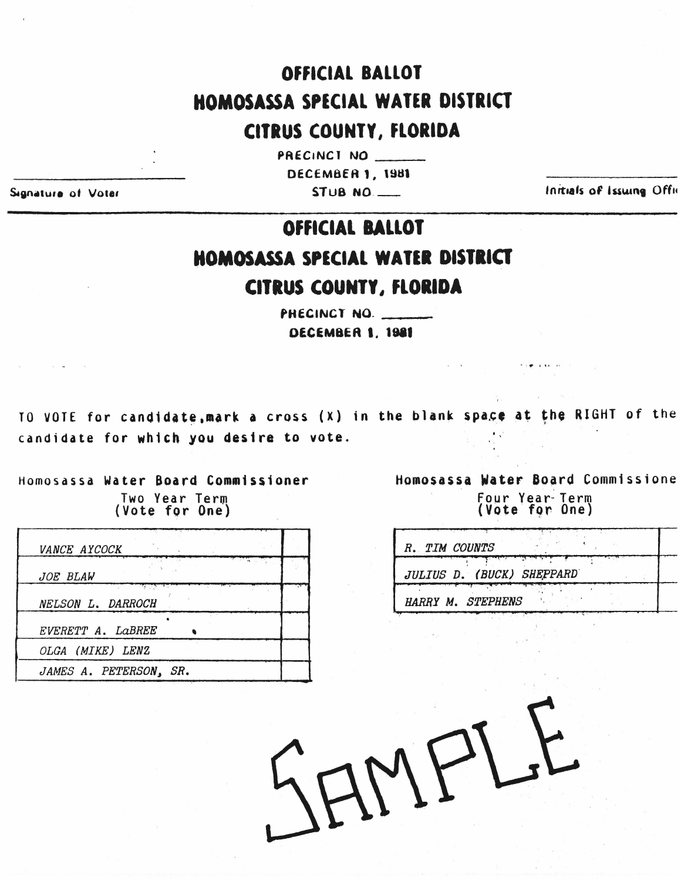## OFFICIAL BALLOT HOMOSASSA SPECIAL WATER DISTRICT

## **CITRUS COUNTY, FLORIDA**

PRECINCT NO **DECEMBER 1, 1981**  $STUB MO$ 

Signature of Voter

Initials of Issuing Offic

## OFFICIAL BALLOT **HOMOSASSA SPECIAL WATER DISTRICT CITRUS COUNTY, FLORIDA**

PHECINCT NO. DECEMBER 1, 1981

TO VOTE for candidate, mark a cross (X) in the blank space at the RIGHT of the candidate for which you desire to vote.

Homosassa Water Board Commissioner Two Year Term<br>(Vote for One)

| <i>VANCE AYCOCK</i>    |  |
|------------------------|--|
| JOE BLAW               |  |
| NELSON L. DARROCH      |  |
| EVERETT A. LaBREE      |  |
| OLGA (MIKE) LENZ       |  |
| JAMES A. PETERSON, SR. |  |

Homosassa Water Board Commissione Four Year Term<br>(Vote for One)

| R. TIM COUNTS             |  |  |
|---------------------------|--|--|
| JULIUS D. (BUCK) SHEPPARD |  |  |
| HARRY M. STEPHENS         |  |  |